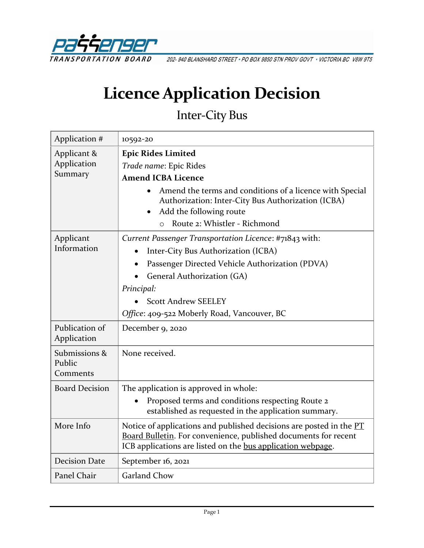

202-940 BLANSHARD STREET · PO BOX 9850 STN PROV GOVT · VICTORIA BC V8W 9T5

# **Licence Application Decision**

## Inter-City Bus

| Application #                         | 10592-20                                                                                                                                                                                              |
|---------------------------------------|-------------------------------------------------------------------------------------------------------------------------------------------------------------------------------------------------------|
| Applicant &<br>Application<br>Summary | <b>Epic Rides Limited</b><br>Trade name: Epic Rides                                                                                                                                                   |
|                                       | <b>Amend ICBA Licence</b>                                                                                                                                                                             |
|                                       | Amend the terms and conditions of a licence with Special<br>Authorization: Inter-City Bus Authorization (ICBA)<br>Add the following route<br>Route 2: Whistler - Richmond<br>$\Omega$                 |
| Applicant<br>Information              | Current Passenger Transportation Licence: #71843 with:                                                                                                                                                |
|                                       | Inter-City Bus Authorization (ICBA)                                                                                                                                                                   |
|                                       | Passenger Directed Vehicle Authorization (PDVA)                                                                                                                                                       |
|                                       | General Authorization (GA)                                                                                                                                                                            |
|                                       | Principal:                                                                                                                                                                                            |
|                                       | <b>Scott Andrew SEELEY</b>                                                                                                                                                                            |
|                                       | Office: 409-522 Moberly Road, Vancouver, BC                                                                                                                                                           |
| Publication of<br>Application         | December 9, 2020                                                                                                                                                                                      |
| Submissions &<br>Public<br>Comments   | None received.                                                                                                                                                                                        |
| <b>Board Decision</b>                 | The application is approved in whole:                                                                                                                                                                 |
|                                       | Proposed terms and conditions respecting Route 2<br>established as requested in the application summary.                                                                                              |
| More Info                             | Notice of applications and published decisions are posted in the PT<br>Board Bulletin. For convenience, published documents for recent<br>ICB applications are listed on the bus application webpage. |
| <b>Decision Date</b>                  | September 16, 2021                                                                                                                                                                                    |
| Panel Chair                           | <b>Garland Chow</b>                                                                                                                                                                                   |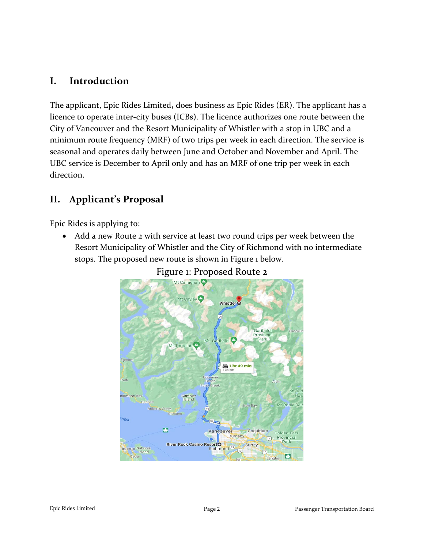## **I. Introduction**

The applicant, Epic Rides Limited**,** does business as Epic Rides (ER). The applicant has a licence to operate inter-city buses (ICBs). The licence authorizes one route between the City of Vancouver and the Resort Municipality of Whistler with a stop in UBC and a minimum route frequency (MRF) of two trips per week in each direction. The service is seasonal and operates daily between June and October and November and April. The UBC service is December to April only and has an MRF of one trip per week in each direction.

## **II. Applicant's Proposal**

Epic Rides is applying to:

• Add a new Route 2 with service at least two round trips per week between the Resort Municipality of Whistler and the City of Richmond with no intermediate stops. The proposed new route is shown in Figure 1 below.



## Figure 1: Proposed Route 2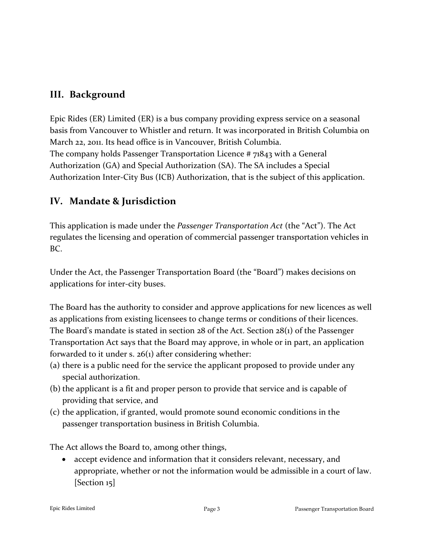## **III. Background**

Epic Rides (ER) Limited (ER) is a bus company providing express service on a seasonal basis from Vancouver to Whistler and return. It was incorporated in British Columbia on March 22, 2011. Its head office is in Vancouver, British Columbia. The company holds Passenger Transportation Licence # 71843 with a General Authorization (GA) and Special Authorization (SA). The SA includes a Special Authorization Inter-City Bus (ICB) Authorization, that is the subject of this application.

## **IV. Mandate & Jurisdiction**

This application is made under the *Passenger Transportation Act* (the "Act"). The Act regulates the licensing and operation of commercial passenger transportation vehicles in BC.

Under the Act, the Passenger Transportation Board (the "Board") makes decisions on applications for inter-city buses.

The Board has the authority to consider and approve applications for new licences as well as applications from existing licensees to change terms or conditions of their licences. The Board's mandate is stated in section 28 of the Act. Section 28(1) of the Passenger Transportation Act says that the Board may approve, in whole or in part, an application forwarded to it under s. 26(1) after considering whether:

- (a) there is a public need for the service the applicant proposed to provide under any special authorization.
- (b) the applicant is a fit and proper person to provide that service and is capable of providing that service, and
- (c) the application, if granted, would promote sound economic conditions in the passenger transportation business in British Columbia.

The Act allows the Board to, among other things,

• accept evidence and information that it considers relevant, necessary, and appropriate, whether or not the information would be admissible in a court of law. [Section 15]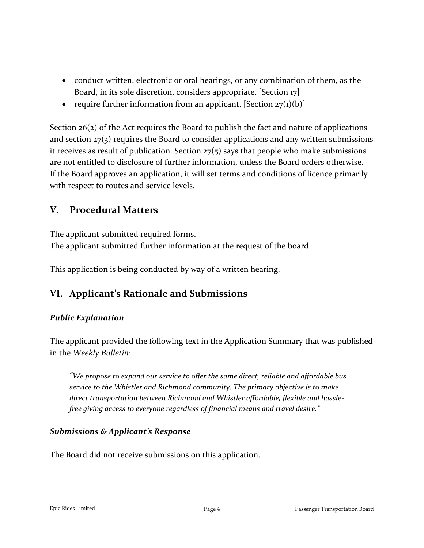- conduct written, electronic or oral hearings, or any combination of them, as the Board, in its sole discretion, considers appropriate. [Section 17]
- require further information from an applicant. [Section  $27(1)(b)$ ]

Section 26(2) of the Act requires the Board to publish the fact and nature of applications and section  $27(3)$  requires the Board to consider applications and any written submissions it receives as result of publication. Section  $27(5)$  says that people who make submissions are not entitled to disclosure of further information, unless the Board orders otherwise. If the Board approves an application, it will set terms and conditions of licence primarily with respect to routes and service levels.

## **V. Procedural Matters**

The applicant submitted required forms. The applicant submitted further information at the request of the board.

This application is being conducted by way of a written hearing.

## **VI. Applicant's Rationale and Submissions**

#### *Public Explanation*

The applicant provided the following text in the Application Summary that was published in the *Weekly Bulletin*:

*"We propose to expand our service to offer the same direct, reliable and affordable bus service to the Whistler and Richmond community. The primary objective is to make direct transportation between Richmond and Whistler affordable, flexible and hasslefree giving access to everyone regardless of financial means and travel desire."*

#### *Submissions & Applicant's Response*

The Board did not receive submissions on this application.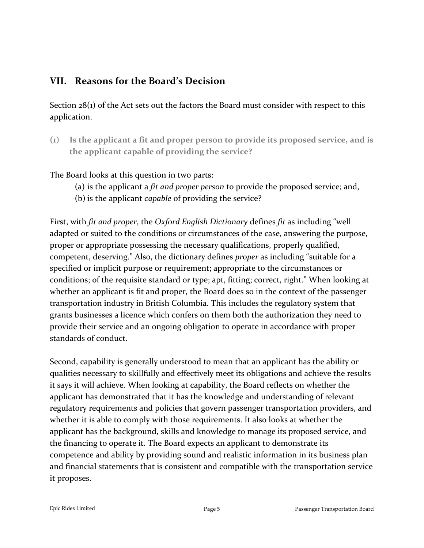## **VII. Reasons for the Board's Decision**

Section 28(1) of the Act sets out the factors the Board must consider with respect to this application.

**(1) Is the applicant a fit and proper person to provide its proposed service, and is the applicant capable of providing the service?**

The Board looks at this question in two parts:

- (a) is the applicant a *fit and proper person* to provide the proposed service; and,
- (b) is the applicant *capable* of providing the service?

First, with *fit and proper*, the *Oxford English Dictionary* defines *fit* as including "well adapted or suited to the conditions or circumstances of the case, answering the purpose, proper or appropriate possessing the necessary qualifications, properly qualified, competent, deserving." Also, the dictionary defines *proper* as including "suitable for a specified or implicit purpose or requirement; appropriate to the circumstances or conditions; of the requisite standard or type; apt, fitting; correct, right." When looking at whether an applicant is fit and proper, the Board does so in the context of the passenger transportation industry in British Columbia. This includes the regulatory system that grants businesses a licence which confers on them both the authorization they need to provide their service and an ongoing obligation to operate in accordance with proper standards of conduct.

Second, capability is generally understood to mean that an applicant has the ability or qualities necessary to skillfully and effectively meet its obligations and achieve the results it says it will achieve. When looking at capability, the Board reflects on whether the applicant has demonstrated that it has the knowledge and understanding of relevant regulatory requirements and policies that govern passenger transportation providers, and whether it is able to comply with those requirements. It also looks at whether the applicant has the background, skills and knowledge to manage its proposed service, and the financing to operate it. The Board expects an applicant to demonstrate its competence and ability by providing sound and realistic information in its business plan and financial statements that is consistent and compatible with the transportation service it proposes.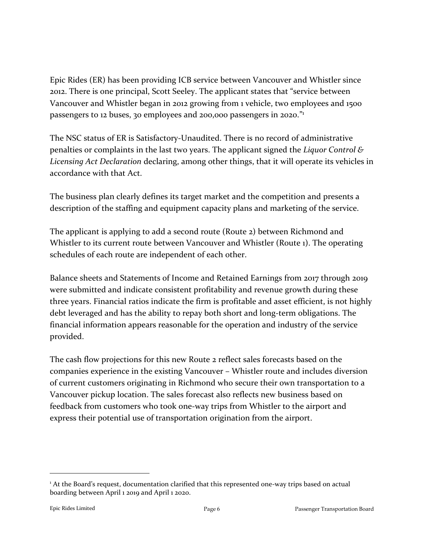Epic Rides (ER) has been providing ICB service between Vancouver and Whistler since 2012. There is one principal, Scott Seeley. The applicant states that "service between Vancouver and Whistler began in 2012 growing from 1 vehicle, two employees and 1500 passengers to 12 buses, 30 employees and 200,000 passengers in 2020."<sup>1</sup>

The NSC status of ER is Satisfactory-Unaudited. There is no record of administrative penalties or complaints in the last two years. The applicant signed the *Liquor Control & Licensing Act Declaration* declaring, among other things, that it will operate its vehicles in accordance with that Act.

The business plan clearly defines its target market and the competition and presents a description of the staffing and equipment capacity plans and marketing of the service.

The applicant is applying to add a second route (Route 2) between Richmond and Whistler to its current route between Vancouver and Whistler (Route 1). The operating schedules of each route are independent of each other.

Balance sheets and Statements of Income and Retained Earnings from 2017 through 2019 were submitted and indicate consistent profitability and revenue growth during these three years. Financial ratios indicate the firm is profitable and asset efficient, is not highly debt leveraged and has the ability to repay both short and long-term obligations. The financial information appears reasonable for the operation and industry of the service provided.

The cash flow projections for this new Route 2 reflect sales forecasts based on the companies experience in the existing Vancouver – Whistler route and includes diversion of current customers originating in Richmond who secure their own transportation to a Vancouver pickup location. The sales forecast also reflects new business based on feedback from customers who took one-way trips from Whistler to the airport and express their potential use of transportation origination from the airport.

<sup>&</sup>lt;sup>1</sup> At the Board's request, documentation clarified that this represented one-way trips based on actual boarding between April 1 2019 and April 1 2020.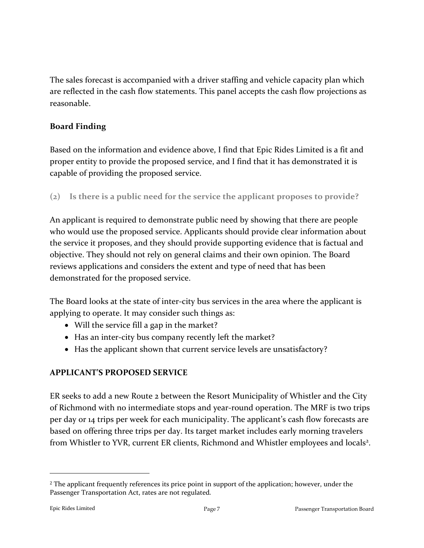The sales forecast is accompanied with a driver staffing and vehicle capacity plan which are reflected in the cash flow statements. This panel accepts the cash flow projections as reasonable.

#### **Board Finding**

Based on the information and evidence above, I find that Epic Rides Limited is a fit and proper entity to provide the proposed service, and I find that it has demonstrated it is capable of providing the proposed service.

**(2) Is there is a public need for the service the applicant proposes to provide?**

An applicant is required to demonstrate public need by showing that there are people who would use the proposed service. Applicants should provide clear information about the service it proposes, and they should provide supporting evidence that is factual and objective. They should not rely on general claims and their own opinion. The Board reviews applications and considers the extent and type of need that has been demonstrated for the proposed service.

The Board looks at the state of inter-city bus services in the area where the applicant is applying to operate. It may consider such things as:

- Will the service fill a gap in the market?
- Has an inter-city bus company recently left the market?
- Has the applicant shown that current service levels are unsatisfactory?

#### **APPLICANT'S PROPOSED SERVICE**

ER seeks to add a new Route 2 between the Resort Municipality of Whistler and the City of Richmond with no intermediate stops and year-round operation. The MRF is two trips per day or 14 trips per week for each municipality. The applicant's cash flow forecasts are based on offering three trips per day. Its target market includes early morning travelers from Whistler to YVR, current ER clients, Richmond and Whistler employees and locals<sup>2</sup>.

<sup>2</sup> The applicant frequently references its price point in support of the application; however, under the Passenger Transportation Act, rates are not regulated.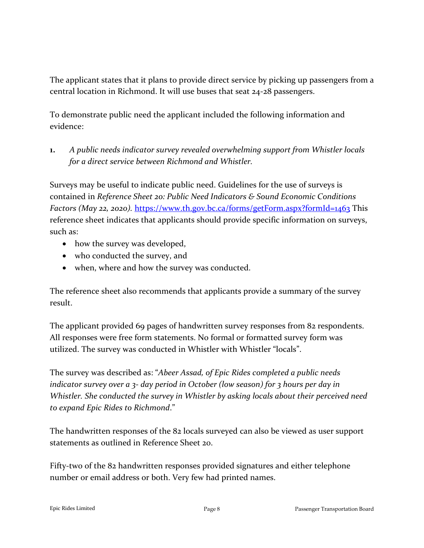The applicant states that it plans to provide direct service by picking up passengers from a central location in Richmond. It will use buses that seat 24-28 passengers.

To demonstrate public need the applicant included the following information and evidence:

**1.** *A public needs indicator survey revealed overwhelming support from Whistler locals for a direct service between Richmond and Whistler.*

Surveys may be useful to indicate public need. Guidelines for the use of surveys is contained in *Reference Sheet 20: Public Need Indicators & Sound Economic Conditions Factors (May 22, 2020).* <https://www.th.gov.bc.ca/forms/getForm.aspx?formId=1463> This reference sheet indicates that applicants should provide specific information on surveys, such as:

- how the survey was developed,
- who conducted the survey, and
- when, where and how the survey was conducted.

The reference sheet also recommends that applicants provide a summary of the survey result.

The applicant provided 69 pages of handwritten survey responses from 82 respondents. All responses were free form statements. No formal or formatted survey form was utilized. The survey was conducted in Whistler with Whistler "locals".

The survey was described as: "*Abeer Assad, of Epic Rides completed a public needs indicator survey over a 3- day period in October (low season) for 3 hours per day in Whistler. She conducted the survey in Whistler by asking locals about their perceived need to expand Epic Rides to Richmond*."

The handwritten responses of the 82 locals surveyed can also be viewed as user support statements as outlined in Reference Sheet 20.

Fifty-two of the 82 handwritten responses provided signatures and either telephone number or email address or both. Very few had printed names.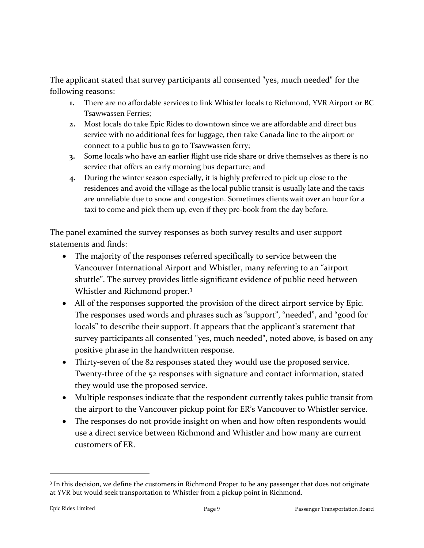The applicant stated that survey participants all consented "yes, much needed" for the following reasons:

- **1.** There are no affordable services to link Whistler locals to Richmond, YVR Airport or BC Tsawwassen Ferries;
- **2.** Most locals do take Epic Rides to downtown since we are affordable and direct bus service with no additional fees for luggage, then take Canada line to the airport or connect to a public bus to go to Tsawwassen ferry;
- **3.** Some locals who have an earlier flight use ride share or drive themselves as there is no service that offers an early morning bus departure; and
- **4.** During the winter season especially, it is highly preferred to pick up close to the residences and avoid the village as the local public transit is usually late and the taxis are unreliable due to snow and congestion. Sometimes clients wait over an hour for a taxi to come and pick them up, even if they pre-book from the day before.

The panel examined the survey responses as both survey results and user support statements and finds:

- The majority of the responses referred specifically to service between the Vancouver International Airport and Whistler, many referring to an "airport shuttle". The survey provides little significant evidence of public need between Whistler and Richmond proper.<sup>3</sup>
- All of the responses supported the provision of the direct airport service by Epic. The responses used words and phrases such as "support", "needed", and "good for locals" to describe their support. It appears that the applicant's statement that survey participants all consented "yes, much needed", noted above, is based on any positive phrase in the handwritten response.
- Thirty-seven of the 82 responses stated they would use the proposed service. Twenty-three of the 52 responses with signature and contact information, stated they would use the proposed service.
- Multiple responses indicate that the respondent currently takes public transit from the airport to the Vancouver pickup point for ER's Vancouver to Whistler service.
- The responses do not provide insight on when and how often respondents would use a direct service between Richmond and Whistler and how many are current customers of ER.

<sup>&</sup>lt;sup>3</sup> In this decision, we define the customers in Richmond Proper to be any passenger that does not originate at YVR but would seek transportation to Whistler from a pickup point in Richmond.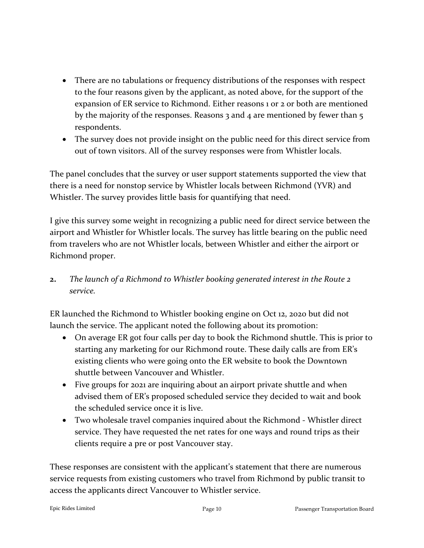- There are no tabulations or frequency distributions of the responses with respect to the four reasons given by the applicant, as noted above, for the support of the expansion of ER service to Richmond. Either reasons 1 or 2 or both are mentioned by the majority of the responses. Reasons 3 and 4 are mentioned by fewer than 5 respondents.
- The survey does not provide insight on the public need for this direct service from out of town visitors. All of the survey responses were from Whistler locals.

The panel concludes that the survey or user support statements supported the view that there is a need for nonstop service by Whistler locals between Richmond (YVR) and Whistler. The survey provides little basis for quantifying that need.

I give this survey some weight in recognizing a public need for direct service between the airport and Whistler for Whistler locals. The survey has little bearing on the public need from travelers who are not Whistler locals, between Whistler and either the airport or Richmond proper.

**2.** *The launch of a Richmond to Whistler booking generated interest in the Route 2 service.*

ER launched the Richmond to Whistler booking engine on Oct 12, 2020 but did not launch the service. The applicant noted the following about its promotion:

- On average ER got four calls per day to book the Richmond shuttle. This is prior to starting any marketing for our Richmond route. These daily calls are from ER's existing clients who were going onto the ER website to book the Downtown shuttle between Vancouver and Whistler.
- Five groups for 2021 are inquiring about an airport private shuttle and when advised them of ER's proposed scheduled service they decided to wait and book the scheduled service once it is live.
- Two wholesale travel companies inquired about the Richmond Whistler direct service. They have requested the net rates for one ways and round trips as their clients require a pre or post Vancouver stay.

These responses are consistent with the applicant's statement that there are numerous service requests from existing customers who travel from Richmond by public transit to access the applicants direct Vancouver to Whistler service.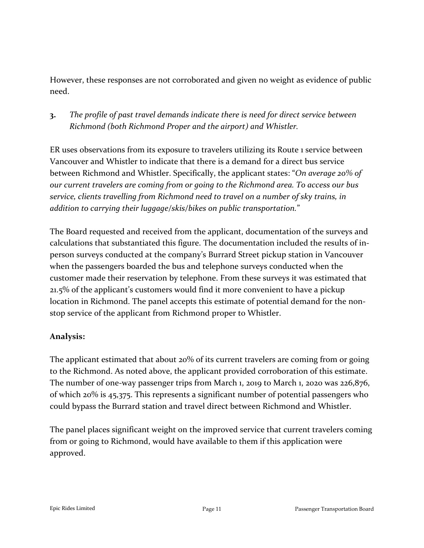However, these responses are not corroborated and given no weight as evidence of public need.

**3.** *The profile of past travel demands indicate there is need for direct service between Richmond (both Richmond Proper and the airport) and Whistler.*

ER uses observations from its exposure to travelers utilizing its Route 1 service between Vancouver and Whistler to indicate that there is a demand for a direct bus service between Richmond and Whistler. Specifically, the applicant states: "*On average 20% of our current travelers are coming from or going to the Richmond area. To access our bus service, clients travelling from Richmond need to travel on a number of sky trains, in addition to carrying their luggage/skis/bikes on public transportation.*"

The Board requested and received from the applicant, documentation of the surveys and calculations that substantiated this figure. The documentation included the results of inperson surveys conducted at the company's Burrard Street pickup station in Vancouver when the passengers boarded the bus and telephone surveys conducted when the customer made their reservation by telephone. From these surveys it was estimated that 21.5% of the applicant's customers would find it more convenient to have a pickup location in Richmond. The panel accepts this estimate of potential demand for the nonstop service of the applicant from Richmond proper to Whistler.

#### **Analysis:**

The applicant estimated that about 20% of its current travelers are coming from or going to the Richmond. As noted above, the applicant provided corroboration of this estimate. The number of one-way passenger trips from March 1, 2019 to March 1, 2020 was 226,876, of which 20% is 45,375. This represents a significant number of potential passengers who could bypass the Burrard station and travel direct between Richmond and Whistler.

The panel places significant weight on the improved service that current travelers coming from or going to Richmond, would have available to them if this application were approved.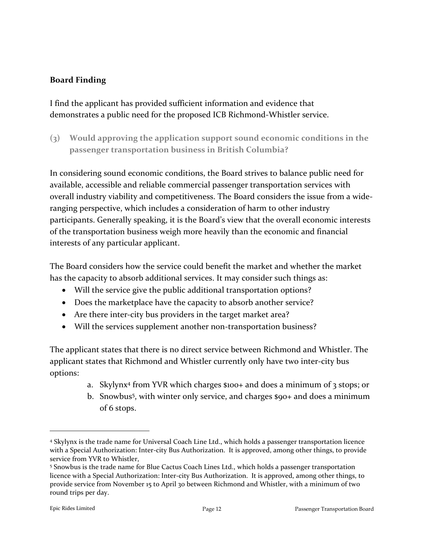#### **Board Finding**

I find the applicant has provided sufficient information and evidence that demonstrates a public need for the proposed ICB Richmond-Whistler service.

**(3) Would approving the application support sound economic conditions in the passenger transportation business in British Columbia?**

In considering sound economic conditions, the Board strives to balance public need for available, accessible and reliable commercial passenger transportation services with overall industry viability and competitiveness. The Board considers the issue from a wideranging perspective, which includes a consideration of harm to other industry participants. Generally speaking, it is the Board's view that the overall economic interests of the transportation business weigh more heavily than the economic and financial interests of any particular applicant.

The Board considers how the service could benefit the market and whether the market has the capacity to absorb additional services. It may consider such things as:

- Will the service give the public additional transportation options?
- Does the marketplace have the capacity to absorb another service?
- Are there inter-city bus providers in the target market area?
- Will the services supplement another non-transportation business?

The applicant states that there is no direct service between Richmond and Whistler. The applicant states that Richmond and Whistler currently only have two inter-city bus options:

- a. Skylynx<sup>4</sup> from YVR which charges \$100+ and does a minimum of 3 stops; or
- b. Snowbus<sup>5</sup>, with winter only service, and charges \$90+ and does a minimum of 6 stops.

<sup>4</sup> Skylynx is the trade name for Universal Coach Line Ltd., which holds a passenger transportation licence with a Special Authorization: Inter-city Bus Authorization. It is approved, among other things, to provide service from YVR to Whistler,

<sup>5</sup> Snowbus is the trade name for Blue Cactus Coach Lines Ltd., which holds a passenger transportation licence with a Special Authorization: Inter-city Bus Authorization. It is approved, among other things, to provide service from November 15 to April 30 between Richmond and Whistler, with a minimum of two round trips per day.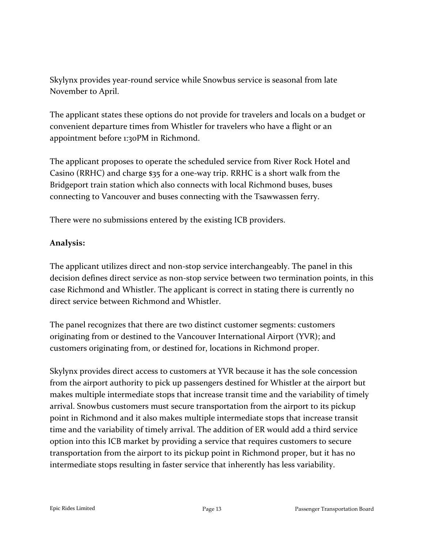Skylynx provides year-round service while Snowbus service is seasonal from late November to April.

The applicant states these options do not provide for travelers and locals on a budget or convenient departure times from Whistler for travelers who have a flight or an appointment before 1:30PM in Richmond.

The applicant proposes to operate the scheduled service from River Rock Hotel and Casino (RRHC) and charge \$35 for a one-way trip. RRHC is a short walk from the Bridgeport train station which also connects with local Richmond buses, buses connecting to Vancouver and buses connecting with the Tsawwassen ferry.

There were no submissions entered by the existing ICB providers.

#### **Analysis:**

The applicant utilizes direct and non-stop service interchangeably. The panel in this decision defines direct service as non-stop service between two termination points, in this case Richmond and Whistler. The applicant is correct in stating there is currently no direct service between Richmond and Whistler.

The panel recognizes that there are two distinct customer segments: customers originating from or destined to the Vancouver International Airport (YVR); and customers originating from, or destined for, locations in Richmond proper.

Skylynx provides direct access to customers at YVR because it has the sole concession from the airport authority to pick up passengers destined for Whistler at the airport but makes multiple intermediate stops that increase transit time and the variability of timely arrival. Snowbus customers must secure transportation from the airport to its pickup point in Richmond and it also makes multiple intermediate stops that increase transit time and the variability of timely arrival. The addition of ER would add a third service option into this ICB market by providing a service that requires customers to secure transportation from the airport to its pickup point in Richmond proper, but it has no intermediate stops resulting in faster service that inherently has less variability.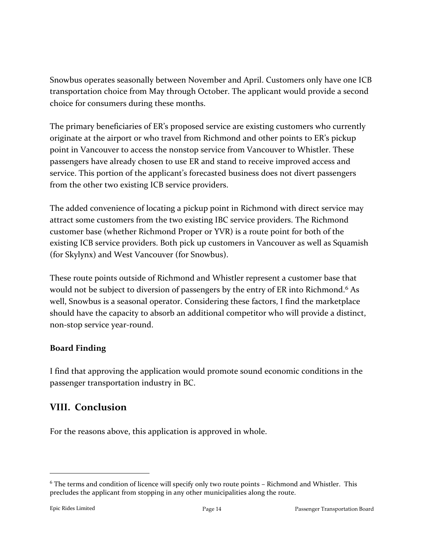Snowbus operates seasonally between November and April. Customers only have one ICB transportation choice from May through October. The applicant would provide a second choice for consumers during these months.

The primary beneficiaries of ER's proposed service are existing customers who currently originate at the airport or who travel from Richmond and other points to ER's pickup point in Vancouver to access the nonstop service from Vancouver to Whistler. These passengers have already chosen to use ER and stand to receive improved access and service. This portion of the applicant's forecasted business does not divert passengers from the other two existing ICB service providers.

The added convenience of locating a pickup point in Richmond with direct service may attract some customers from the two existing IBC service providers. The Richmond customer base (whether Richmond Proper or YVR) is a route point for both of the existing ICB service providers. Both pick up customers in Vancouver as well as Squamish (for Skylynx) and West Vancouver (for Snowbus).

These route points outside of Richmond and Whistler represent a customer base that would not be subject to diversion of passengers by the entry of ER into Richmond.<sup>6</sup> As well, Snowbus is a seasonal operator. Considering these factors, I find the marketplace should have the capacity to absorb an additional competitor who will provide a distinct, non-stop service year-round.

#### **Board Finding**

I find that approving the application would promote sound economic conditions in the passenger transportation industry in BC.

#### **VIII. Conclusion**

For the reasons above, this application is approved in whole.

<sup>6</sup> The terms and condition of licence will specify only two route points – Richmond and Whistler. This precludes the applicant from stopping in any other municipalities along the route.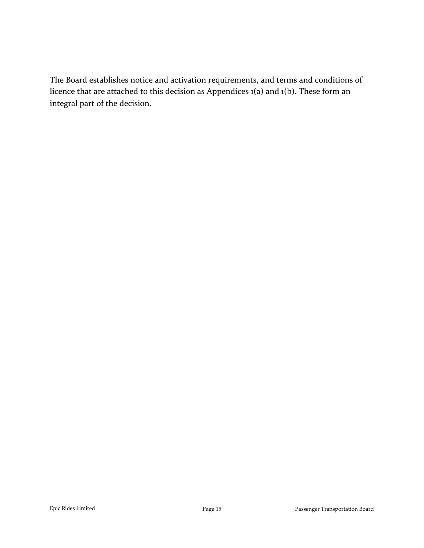The Board establishes notice and activation requirements, and terms and conditions of licence that are attached to this decision as Appendices 1(a) and 1(b). These form an integral part of the decision.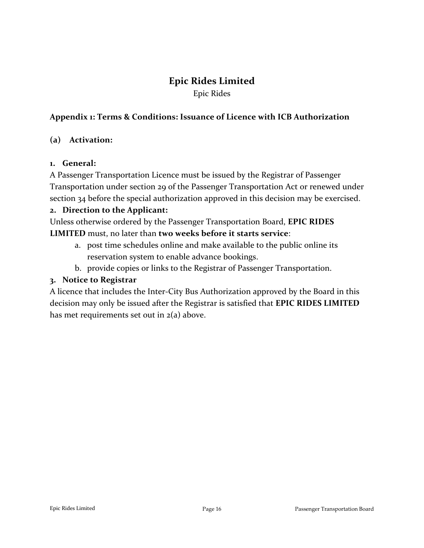### **Epic Rides Limited**

Epic Rides

#### **Appendix 1: Terms & Conditions: Issuance of Licence with ICB Authorization**

#### **(a) Activation:**

#### **1. General:**

A Passenger Transportation Licence must be issued by the Registrar of Passenger Transportation under section 29 of the Passenger Transportation Act or renewed under section 34 before the special authorization approved in this decision may be exercised.

#### **2. Direction to the Applicant:**

Unless otherwise ordered by the Passenger Transportation Board, **EPIC RIDES LIMITED** must, no later than **two weeks before it starts service**:

- a. post time schedules online and make available to the public online its reservation system to enable advance bookings.
- b. provide copies or links to the Registrar of Passenger Transportation.

#### **3. Notice to Registrar**

A licence that includes the Inter-City Bus Authorization approved by the Board in this decision may only be issued after the Registrar is satisfied that **EPIC RIDES LIMITED** has met requirements set out in 2(a) above.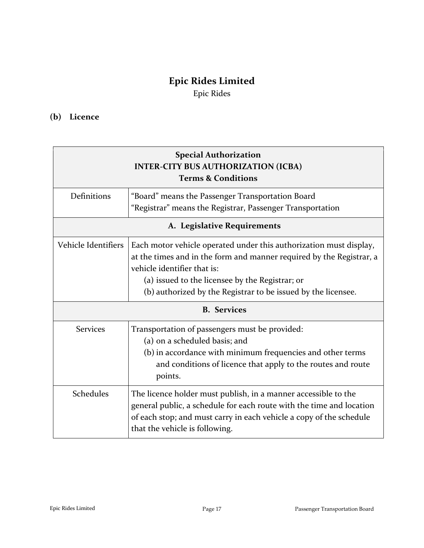## **Epic Rides Limited**

Epic Rides

#### **(b) Licence**

| <b>Special Authorization</b><br><b>INTER-CITY BUS AUTHORIZATION (ICBA)</b><br><b>Terms &amp; Conditions</b> |                                                                                                                                                                                                                                                                                               |  |
|-------------------------------------------------------------------------------------------------------------|-----------------------------------------------------------------------------------------------------------------------------------------------------------------------------------------------------------------------------------------------------------------------------------------------|--|
| Definitions                                                                                                 | "Board" means the Passenger Transportation Board<br>"Registrar" means the Registrar, Passenger Transportation                                                                                                                                                                                 |  |
| A. Legislative Requirements                                                                                 |                                                                                                                                                                                                                                                                                               |  |
| Vehicle Identifiers                                                                                         | Each motor vehicle operated under this authorization must display,<br>at the times and in the form and manner required by the Registrar, a<br>vehicle identifier that is:<br>(a) issued to the licensee by the Registrar; or<br>(b) authorized by the Registrar to be issued by the licensee. |  |
| <b>B.</b> Services                                                                                          |                                                                                                                                                                                                                                                                                               |  |
| <b>Services</b>                                                                                             | Transportation of passengers must be provided:<br>(a) on a scheduled basis; and<br>(b) in accordance with minimum frequencies and other terms<br>and conditions of licence that apply to the routes and route<br>points.                                                                      |  |
| Schedules                                                                                                   | The licence holder must publish, in a manner accessible to the<br>general public, a schedule for each route with the time and location<br>of each stop; and must carry in each vehicle a copy of the schedule<br>that the vehicle is following.                                               |  |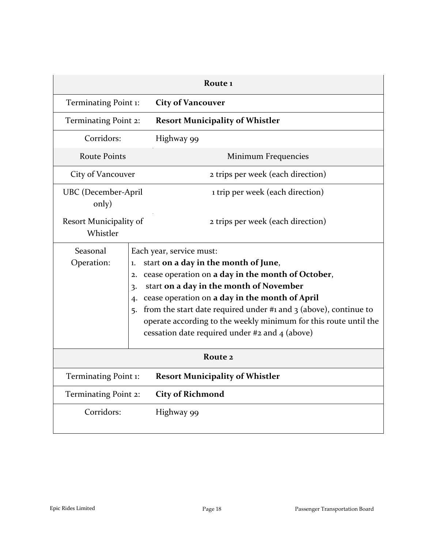| Route <sub>1</sub>                  |                                                                                                                                                                                                                                                                                                                                                                                                                                                                    |  |  |  |
|-------------------------------------|--------------------------------------------------------------------------------------------------------------------------------------------------------------------------------------------------------------------------------------------------------------------------------------------------------------------------------------------------------------------------------------------------------------------------------------------------------------------|--|--|--|
| Terminating Point 1:                | <b>City of Vancouver</b>                                                                                                                                                                                                                                                                                                                                                                                                                                           |  |  |  |
| Terminating Point 2:                | <b>Resort Municipality of Whistler</b>                                                                                                                                                                                                                                                                                                                                                                                                                             |  |  |  |
| Corridors:                          | Highway 99                                                                                                                                                                                                                                                                                                                                                                                                                                                         |  |  |  |
| <b>Route Points</b>                 | Minimum Frequencies                                                                                                                                                                                                                                                                                                                                                                                                                                                |  |  |  |
| City of Vancouver                   | 2 trips per week (each direction)                                                                                                                                                                                                                                                                                                                                                                                                                                  |  |  |  |
| <b>UBC</b> (December-April<br>only) | 1 trip per week (each direction)                                                                                                                                                                                                                                                                                                                                                                                                                                   |  |  |  |
| Resort Municipality of<br>Whistler  | 2 trips per week (each direction)                                                                                                                                                                                                                                                                                                                                                                                                                                  |  |  |  |
| Seasonal<br>Operation:              | Each year, service must:<br>start on a day in the month of June,<br>1.<br>cease operation on a day in the month of October,<br>2.<br>start on a day in the month of November<br>3.<br>cease operation on a day in the month of April<br>$\overline{4}$<br>from the start date required under #1 and $\frac{1}{2}$ (above), continue to<br>5.<br>operate according to the weekly minimum for this route until the<br>cessation date required under #2 and 4 (above) |  |  |  |
| Route 2                             |                                                                                                                                                                                                                                                                                                                                                                                                                                                                    |  |  |  |
| Terminating Point 1:                | <b>Resort Municipality of Whistler</b>                                                                                                                                                                                                                                                                                                                                                                                                                             |  |  |  |
| Terminating Point 2:                | <b>City of Richmond</b>                                                                                                                                                                                                                                                                                                                                                                                                                                            |  |  |  |
| Corridors:                          | Highway 99                                                                                                                                                                                                                                                                                                                                                                                                                                                         |  |  |  |